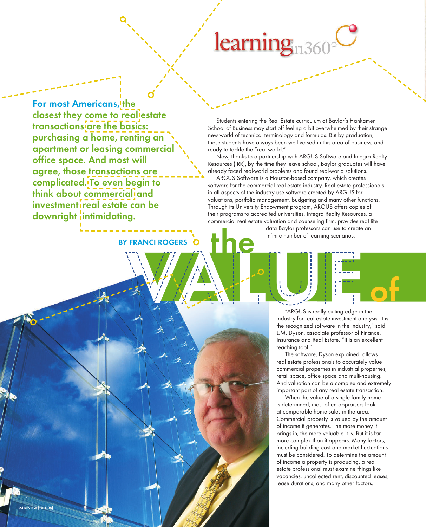## learning<sub>n360</sub>

**For most Americans, the closest they come to real estate transactions are the basics: purchasing a home, renting an apartment or leasing commercial office space. And most will agree, those transactions are complicated. To even begin to think about commercial and investment real estate can be downright intimidating.**

**24 REVIEW [FALL 08]**

**by Franci Rogers**

Students entering the Real Estate curriculum at Baylor's Hankamer School of Business may start off feeling a bit overwhelmed by their strange new world of technical terminology and formulas. But by graduation, these students have always been well versed in this area of business, and ready to tackle the "real world."

Now, thanks to a partnership with ARGUS Software and Integra Realty Resources (IRR), by the time they leave school, Baylor graduates will have already faced real-world problems and found real-world solutions.

ARGUS Software is a Houston-based company, which creates software for the commercial real estate industry. Real estate professionals in all aspects of the industry use software created by ARGUS for valuations, portfolio management, budgeting and many other functions. Through its University Endowment program, ARGUS offers copies of their programs to accredited universities. Integra Realty Resources, a commercial real estate valuation and counseling firm, provides real life

**the**

data Baylor professors can use to create an infinite number of learning scenarios.

"ARGUS is really cutting edge in the industry for real estate investment analysis. It is the recognized software in the industry," said L.M. Dyson, associate professor of Finance, Insurance and Real Estate. "It is an excellent teaching tool." **Value of**

> The software, Dyson explained, allows real estate professionals to accurately value commercial properties in industrial properties, retail space, office space and multi-housing. And valuation can be a complex and extremely important part of any real estate transaction.

When the value of a single family home is determined, most often appraisers look at comparable home sales in the area. Commercial property is valued by the amount of income it generates. The more money it brings in, the more valuable it is. But it is far more complex than it appears. Many factors, including building cost and market fluctuations must be considered. To determine the amount of income a property is producing, a real estate professional must examine things like vacancies, uncollected rent, discounted leases, lease durations, and many other factors.